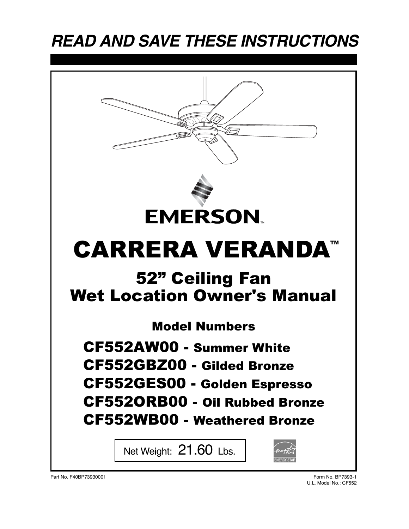# **READ AND SAVE THESE INSTRUCTIONS**

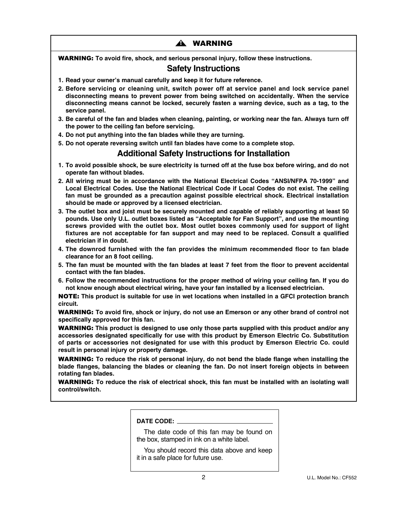# <u>a</u> Warning

WARNING: **To avoid fire, shock, and serious personal injury, follow these instructions.**

# **Safety Instructions**

- **1. Read your owner's manual carefully and keep it for future reference.**
- **2. Before servicing or cleaning unit, switch power off at service panel and lock service panel disconnecting means to prevent power from being switched on accidentally. When the service disconnecting means cannot be locked, securely fasten a warning device, such as a tag, to the service panel.**
- **3. Be careful of the fan and blades when cleaning, painting, or working near the fan. Always turn off the power to the ceiling fan before servicing.**
- **4. Do not put anything into the fan blades while they are turning.**
- **5. Do not operate reversing switch until fan blades have come to a complete stop.**

# **Additional Safety Instructions for Installation**

- **1. To avoid possible shock, be sure electricity is turned off at the fuse box before wiring, and do not operate fan without blades.**
- **2. All wiring must be in accordance with the National Electrical Codes "ANSI/NFPA 70-1999" and Local Electrical Codes. Use the National Electrical Code if Local Codes do not exist. The ceiling fan must be grounded as a precaution against possible electrical shock. Electrical installation should be made or approved by a licensed electrician.**
- **3. The outlet box and joist must be securely mounted and capable of reliably supporting at least 50 pounds. Use only U.L. outlet boxes listed as "Acceptable for Fan Support", and use the mounting screws provided with the outlet box. Most outlet boxes commonly used for support of light fixtures are not acceptable for fan support and may need to be replaced. Consult a qualified electrician if in doubt.**
- **4. The downrod furnished with the fan provides the minimum recommended floor to fan blade clearance for an 8 foot ceiling.**
- **5. The fan must be mounted with the fan blades at least 7 feet from the floor to prevent accidental contact with the fan blades.**
- **6. Follow the recommended instructions for the proper method of wiring your ceiling fan. If you do not know enough about electrical wiring, have your fan installed by a licensed electrician.**

NOTE: **This product is suitable for use in wet locations when installed in a GFCI protection branch circuit.**

WARNING: **To avoid fire, shock or injury, do not use an Emerson or any other brand of control not specifically approved for this fan.**

WARNING: **This product is designed to use only those parts supplied with this product and/or any accessories designated specifically for use with this product by Emerson Electric Co. Substitution of parts or accessories not designated for use with this product by Emerson Electric Co. could result in personal injury or property damage.**

WARNING: **To reduce the risk of personal injury, do not bend the blade flange when installing the blade flanges, balancing the blades or cleaning the fan. Do not insert foreign objects in between rotating fan blades.**

WARNING: **To reduce the risk of electrical shock, this fan must be installed with an isolating wall control/switch.**

| <b>DATE CODE:</b> |  |
|-------------------|--|
|                   |  |

The date code of this fan may be found on the box, stamped in ink on a white label.

You should record this data above and keep it in a safe place for future use.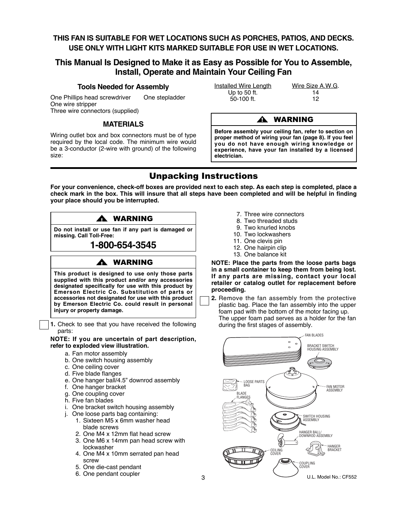# **THIS FAN IS SUITABLE FOR WET LOCATIONS SUCH AS PORCHES, PATIOS, AND DECKS. USE ONLY WITH LIGHT KITS MARKED SUITABLE FOR USE IN WET LOCATIONS.**

# **This Manual Is Designed to Make it as Easy as Possible for You to Assemble, Install, Operate and Maintain Your Ceiling Fan**

#### **Tools Needed for Assembly**

One Phillips head screwdriver One stepladder One wire stripper Three wire connectors (supplied)

#### **MATERIALS**

Wiring outlet box and box connectors must be of type required by the local code. The minimum wire would be a 3-conductor (2-wire with ground) of the following size:

| <b>Installed Wire Length</b> | Wire Size A.W.G. |
|------------------------------|------------------|
| Up to 50 ft.                 | 14               |
| $50-100$ ft.                 | 12               |

#### ! WARNING

**Before assembly your ceiling fan, refer to section on proper method of wiring your fan (page 8). If you feel you do not have enough wiring knowledge or experience, have your fan installed by a licensed electrician.**

# Unpacking Instructions

**For your convenience, check-off boxes are provided next to each step. As each step is completed, place a check mark in the box. This will insure that all steps have been completed and will be helpful in finding your place should you be interrupted.**

### **WARNING**

**Do not install or use fan if any part is damaged or missing. Call Toll-Free:**

# **1-800-654-3545**

# **WARNING**

**This product is designed to use only those parts supplied with this product and/or any accessories designated specifically for use with this product by Emerson Electric Co. Substitution of parts or accessories not designated for use with this product by Emerson Electric Co. could result in personal injury or property damage.**

**1.** Check to see that you have received the following parts:

**NOTE: If you are uncertain of part description, refer to exploded view illustration.**

- a. Fan motor assembly
- b. One switch housing assembly
- c. One ceiling cover
- d. Five blade flanges
- e. One hanger ball/4.5" downrod assembly
- f. One hanger bracket
- g. One coupling cover
- h. Five fan blades
- i. One bracket switch housing assembly
- j. One loose parts bag containing:
	- 1. Sixteen M5 x 6mm washer head blade screws
	- 2. One M4 x 12mm flat head screw
	- 3. One M6 x 14mm pan head screw with lockwasher
	- 4. One M4 x 10mm serrated pan head screw
	- 5. One die-cast pendant
	- 6. One pendant coupler
- 7. Three wire connectors
- 8. Two threaded studs
- 9. Two knurled knobs
- 10. Two lockwashers
- 11. One clevis pin
- 12. One hairpin clip
- 13. One balance kit

**NOTE: Place the parts from the loose parts bags in a small container to keep them from being lost. If any parts are missing, contact your local retailer or catalog outlet for replacement before proceeding.**

**2.** Remove the fan assembly from the protective plastic bag. Place the fan assembly into the upper foam pad with the bottom of the motor facing up. The upper foam pad serves as a holder for the fan during the first stages of assembly.

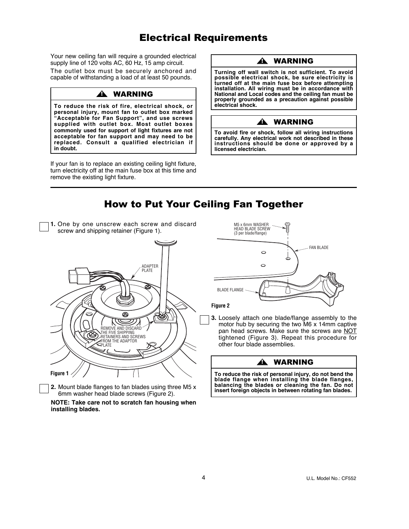# Electrical Requirements

Your new ceiling fan will require a grounded electrical supply line of 120 volts AC, 60 Hz, 15 amp circuit. The outlet box must be securely anchored and capable of withstanding a load of at least 50 pounds.

## **A WARNING**

**To reduce the risk of fire, electrical shock, or personal injury, mount fan to outlet box marked "Acceptable for Fan Support", and use screws supplied with outlet box. Most outlet boxes commonly used for support of light fixtures are not acceptable for fan support and may need to be replaced. Consult a qualified electrician if in doubt.**

If your fan is to replace an existing ceiling light fixture, turn electricity off at the main fuse box at this time and remove the existing light fixture.

**2.** Mount blade flanges to fan blades using three M5 x 6mm washer head blade screws (Figure 2). **NOTE: Take care not to scratch fan housing when**

**installing blades.**

### **A WARNING**

**Turning off wall switch is not sufficient. To avoid possible electrical shock, be sure electricity is turned off at the main fuse box before attempting installation. All wiring must be in accordance with National and Local codes and the ceiling fan must be properly grounded as a precaution against possible electrical shock.**

### **A** WARNING

**To avoid fire or shock, follow all wiring instructions carefully. Any electrical work not described in these instructions should be done or approved by a licensed electrician.**



**To reduce the risk of personal injury, do not bend the blade flange when installing the blade flanges, balancing the blades or cleaning the fan. Do not insert foreign objects in between rotating fan blades.**

U.L. Model No.: CF552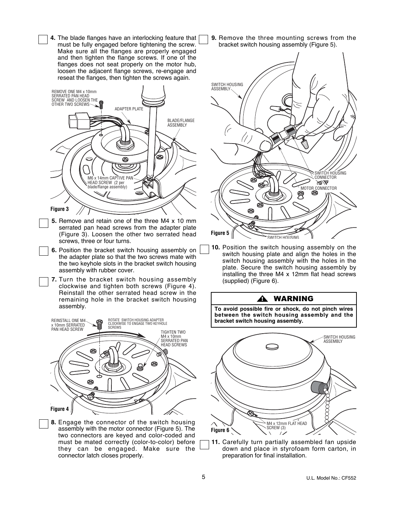**4.** The blade flanges have an interlocking feature that must be fully engaged before tightening the screw. Make sure all the flanges are properly engaged and then tighten the flange screws. If one of the flanges does not seat properly on the motor hub, loosen the adjacent flange screws, re-engage and reseat the flanges, then tighten the screws again.



- **5.** Remove and retain one of the three M4 x 10 mm serrated pan head screws from the adapter plate (Figure 3). Loosen the other two serrated head screws, three or four turns.
- **6.** Position the bracket switch housing assembly on the adapter plate so that the two screws mate with the two keyhole slots in the bracket switch housing assembly with rubber cover.
- **7.** Turn the bracket switch housing assembly clockwise and tighten both screws (Figure 4). Reinstall the other serrated head screw in the remaining hole in the bracket switch housing assembly.



**8.** Engage the connector of the switch housing assembly with the motor connector (Figure 5). The two connectors are keyed and color-coded and must be mated correctly (color-to-color) before they can be engaged. Make sure the connector latch closes properly.

**9.** Remove the three mounting screws from the bracket switch housing assembly (Figure 5).



**10.** Position the switch housing assembly on the switch housing plate and align the holes in the switch housing assembly with the holes in the plate. Secure the switch housing assembly by installing the three M4 x 12mm flat head screws (supplied) (Figure 6).

#### **A WARNING**

**To avoid possible fire or shock, do not pinch wires between the switch housing assembly and the bracket switch housing assembly.**



**11.** Carefully turn partially assembled fan upside down and place in styrofoam form carton, in preparation for final installation.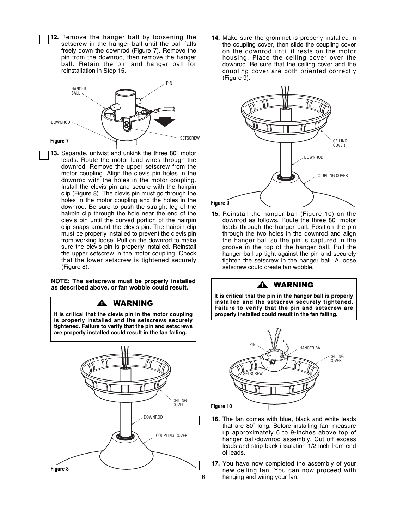**12.** Remove the hanger ball by loosening the setscrew in the hanger ball until the ball falls freely down the downrod (Figure 7). Remove the pin from the downrod, then remove the hanger ball. Retain the pin and hanger ball for reinstallation in Step 15.



**13.** Separate, untwist and unkink the three 80" motor leads. Route the motor lead wires through the downrod. Remove the upper setscrew from the motor coupling. Align the clevis pin holes in the downrod with the holes in the motor coupling. Install the clevis pin and secure with the hairpin clip (Figure 8). The clevis pin must go through the holes in the motor coupling and the holes in the downrod. Be sure to push the straight leg of the hairpin clip through the hole near the end of the clevis pin until the curved portion of the hairpin clip snaps around the clevis pin. The hairpin clip must be properly installed to prevent the clevis pin from working loose. Pull on the downrod to make sure the clevis pin is properly installed. Reinstall the upper setscrew in the motor coupling. Check that the lower setscrew is tightened securely (Figure 8).

**NOTE: The setscrews must be properly installed as described above, or fan wobble could result.**

! WARNING



**14.** Make sure the grommet is properly installed in the coupling cover, then slide the coupling cover on the downrod until it rests on the motor housing. Place the ceiling cover over the downrod. Be sure that the ceiling cover and the coupling cover are both oriented correctly (Figure 9).



**15.** Reinstall the hanger ball (Figure 10) on the downrod as follows. Route the three 80" motor leads through the hanger ball. Position the pin through the two holes in the downrod and align the hanger ball so the pin is captured in the groove in the top of the hanger ball. Pull the hanger ball up tight against the pin and securely tighten the setscrew in the hanger ball. A loose setscrew could create fan wobble.

#### **A WARNING**

**It is critical that the pin in the hanger ball is properly installed and the setscrew securely tightened. Failure to verify that the pin and setscrew are properly installed could result in the fan falling.**



- **16.** The fan comes with blue, black and white leads that are 80" long. Before installing fan, measure up approximately 6 to 9-inches above top of hanger ball/downrod assembly. Cut off excess leads and strip back insulation 1/2-inch from end of leads.
- **17.** You have now completed the assembly of your new ceiling fan. You can now proceed with hanging and wiring your fan.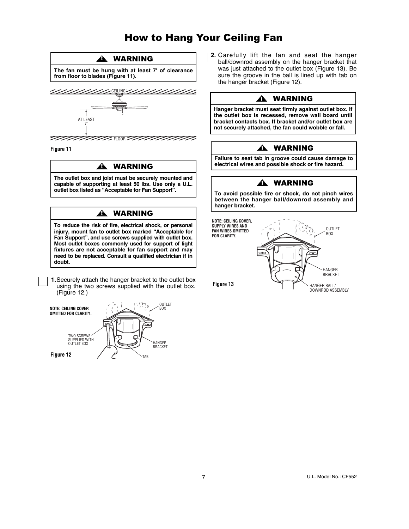# How to Hang Your Ceiling Fan



**Figure 11**

#### **A** WARNING

**The outlet box and joist must be securely mounted and capable of supporting at least 50 lbs. Use only a U.L. outlet box listed as "Acceptable for Fan Support".**

# **A WARNING**

**To reduce the risk of fire, electrical shock, or personal injury, mount fan to outlet box marked "Acceptable for Fan Support", and use screws supplied with outlet box. Most outlet boxes commonly used for support of light fixtures are not acceptable for fan support and may need to be replaced. Consult a qualified electrician if in doubt.**

**1.**Securely attach the hanger bracket to the outlet box using the two screws supplied with the outlet box. (Figure 12.)



**2.** Carefully lift the fan and seat the hanger ball/downrod assembly on the hanger bracket that was just attached to the outlet box (Figure 13). Be sure the groove in the ball is lined up with tab on the hanger bracket (Figure 12).

# **A** WARNING

**Hanger bracket must seat firmly against outlet box. If the outlet box is recessed, remove wall board until bracket contacts box. If bracket and/or outlet box are not securely attached, the fan could wobble or fall.**

# ! WARNING

**Failure to seat tab in groove could cause damage to electrical wires and possible shock or fire hazard.**

### **A** WARNING

**To avoid possible fire or shock, do not pinch wires between the hanger ball/downrod assembly and hanger bracket.**

**NOTE: CEILING COVER, SUPPLY WIRES AND FAN WIRES OMITTED FOR CLARITY.**



**Figure 13**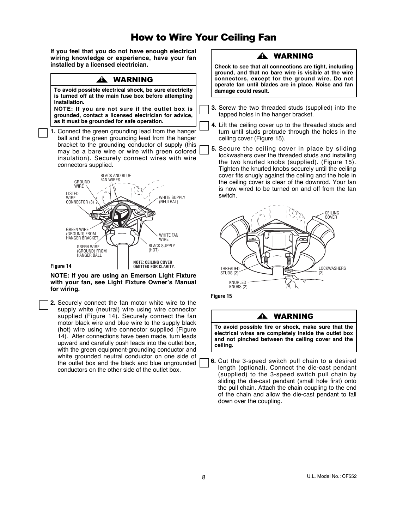# How to Wire Your Ceiling Fan

**If you feel that you do not have enough electrical wiring knowledge or experience, have your fan installed by a licensed electrician.**

#### **A WARNING**

**To avoid possible electrical shock, be sure electricity is turned off at the main fuse box before attempting installation.**

**NOTE: If you are not sure if the outlet box is grounded, contact a licensed electrician for advice, as it must be grounded for safe operation.**

**1.** Connect the green grounding lead from the hanger ball and the green grounding lead from the hanger bracket to the grounding conductor of supply (this may be a bare wire or wire with green colored insulation). Securely connect wires with wire connectors supplied.



**NOTE: If you are using an Emerson Light Fixture Figure 4 with your fan, see Light Fixture Owner's Manual for wiring.**

**2.** Securely connect the fan motor white wire to the supply white (neutral) wire using wire connector supplied (Figure 14). Securely connect the fan motor black wire and blue wire to the supply black (hot) wire using wire connector supplied (Figure 14). After connections have been made, turn leads upward and carefully push leads into the outlet box, with the green equipment-grounding conductor and white grounded neutral conductor on one side of the outlet box and the black and blue ungrounded conductors on the other side of the outlet box.

### **A** WARNING

**Check to see that all connections are tight, including ground, and that no bare wire is visible at the wire connectors, except for the ground wire. Do not operate fan until blades are in place. Noise and fan damage could result.**

- **3.** Screw the two threaded studs (supplied) into the tapped holes in the hanger bracket.
- **4.** Lift the ceiling cover up to the threaded studs and turn until studs protrude through the holes in the ceiling cover (Figure 15).
- **5.** Secure the ceiling cover in place by sliding lockwashers over the threaded studs and installing the two knurled knobs (supplied). (Figure 15). Tighten the knurled knobs securely until the ceiling cover fits snugly against the ceiling and the hole in the ceiling cover is clear of the downrod. Your fan is now wired to be turned on and off from the fan switch.





#### **A** WARNING

**To avoid possible fire or shock, make sure that the electrical wires are completely inside the outlet box and not pinched between the ceiling cover and the ceiling.**

**6.** Cut the 3-speed switch pull chain to a desired length (optional). Connect the die-cast pendant (supplied) to the 3-speed switch pull chain by sliding the die-cast pendant (small hole first) onto the pull chain. Attach the chain coupling to the end of the chain and allow the die-cast pendant to fall down over the coupling.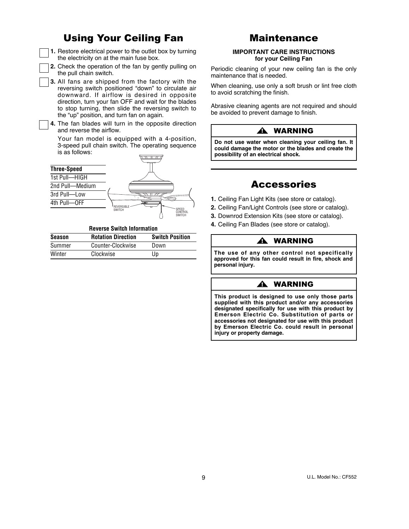# Using Your Ceiling Fan

**1.** Restore electrical power to the outlet box by turning the electricity on at the main fuse box.

**2.** Check the operation of the fan by gently pulling on the pull chain switch.

**3.** All fans are shipped from the factory with the reversing switch positioned "down" to circulate air downward. If airflow is desired in opposite direction, turn your fan OFF and wait for the blades to stop turning, then slide the reversing switch to the "up" position, and turn fan on again.

**4.** The fan blades will turn in the opposite direction and reverse the airflow.

Your fan model is equipped with a 4-position, 3-speed pull chain switch. The operating sequence is as follows:

| <b>Three-Speed</b> |                                             |
|--------------------|---------------------------------------------|
| 1st Pull-HIGH      |                                             |
| 2nd Pull-Medium    |                                             |
| 3rd Pull-Low       |                                             |
| 4th Pull-OFF       | ģ<br><b>REVERSIBL</b>                       |
|                    | SPEED<br><b>SWITCH</b><br>CONTROL<br>SWITCH |

#### **Reverse Switch Information**

| <b>Season</b> | <b>Rotation Direction</b> | <b>Switch Position</b> |
|---------------|---------------------------|------------------------|
| Summer        | Counter-Clockwise         | Down                   |
| Winter        | Clockwise                 | Up                     |

# Maintenance

#### **IMPORTANT CARE INSTRUCTIONS for your Ceiling Fan**

Periodic cleaning of your new ceiling fan is the only maintenance that is needed.

When cleaning, use only a soft brush or lint free cloth to avoid scratching the finish.

Abrasive cleaning agents are not required and should be avoided to prevent damage to finish.

#### ! WARNING

**Do not use water when cleaning your ceiling fan. It could damage the motor or the blades and create the possibility of an electrical shock.**

# Accessories

- **1.** Ceiling Fan Light Kits (see store or catalog).
- **2.** Ceiling Fan/Light Controls (see store or catalog).
- **3.** Downrod Extension Kits (see store or catalog).
- **4.** Ceiling Fan Blades (see store or catalog).

#### **A WARNING**

**The use of any other control not specifically approved for this fan could result in fire, shock and personal injury.**

### A WARNING

**This product is designed to use only those parts supplied with this product and/or any accessories designated specifically for use with this product by Emerson Electric Co. Substitution of parts or accessories not designated for use with this product by Emerson Electric Co. could result in personal injury or property damage.**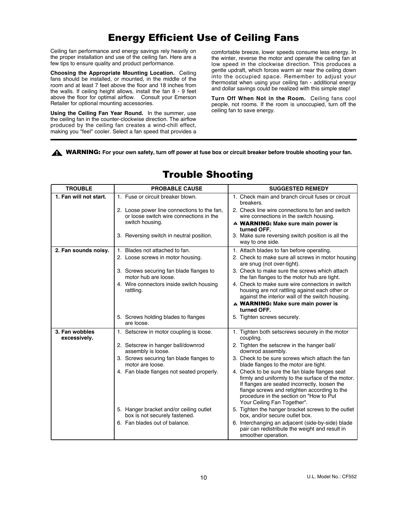# Energy Efficient Use of Ceiling Fans

Ceiling fan performance and energy savings rely heavily on the proper installation and use of the ceiling fan. Here are a few tips to ensure quality and product performance.

**Choosing the Appropriate Mounting Location.** Ceiling fans should be installed, or mounted, in the middle of the room and at least 7 feet above the floor and 18 inches from the walls. If ceiling height allows, install the fan 8 - 9 feet above the floor for optimal airflow. Consult your Emerson Retailer for optional mounting accessories.

**Using the Ceiling Fan Year Round.** In the summer, use the ceiling fan in the counter-clockwise direction. The airflow produced by the ceiling fan creates a wind-chill effect, making you "feel" cooler. Select a fan speed that provides a comfortable breeze, lower speeds consume less energy. In the winter, reverse the motor and operate the ceiling fan at low speed in the clockwise direction. This produces a gentle updraft, which forces warm air near the ceiling down into the occupied space. Remember to adjust your thermostat when using your ceiling fan - additional energy and dollar savings could be realized with this simple step!

**Turn Off When Not in the Room.** Ceiling fans cool people, not rooms. If the room is unoccupied, turn off the ceiling fan to save energy.

WARNING: **For your own safety, turn off power at fuse box or circuit breaker before trouble shooting your fan.** !

| <b>TROUBLE</b><br><b>PROBABLE CAUSE</b> |                                                                                                           | <b>SUGGESTED REMEDY</b>                                                                                                                                                                                                                                                        |  |  |  |
|-----------------------------------------|-----------------------------------------------------------------------------------------------------------|--------------------------------------------------------------------------------------------------------------------------------------------------------------------------------------------------------------------------------------------------------------------------------|--|--|--|
| 1. Fan will not start.                  | 1. Fuse or circuit breaker blown.                                                                         | 1. Check main and branch circuit fuses or circuit<br>breakers.                                                                                                                                                                                                                 |  |  |  |
|                                         | 2. Loose power line connections to the fan,<br>or loose switch wire connections in the<br>switch housing. | 2. Check line wire connections to fan and switch<br>wire connections in the switch housing.                                                                                                                                                                                    |  |  |  |
|                                         |                                                                                                           | A WARNING: Make sure main power is<br>turned OFF.                                                                                                                                                                                                                              |  |  |  |
|                                         | 3. Reversing switch in neutral position.                                                                  | 3. Make sure reversing switch position is all the<br>way to one side.                                                                                                                                                                                                          |  |  |  |
| 2. Fan sounds noisy.                    | 1. Blades not attached to fan.                                                                            | 1. Attach blades to fan before operating.                                                                                                                                                                                                                                      |  |  |  |
|                                         | 2. Loose screws in motor housing.                                                                         | 2. Check to make sure all screws in motor housing<br>are snug (not over-tight).                                                                                                                                                                                                |  |  |  |
|                                         | 3. Screws securing fan blade flanges to<br>motor hub are loose.                                           | 3. Check to make sure the screws which attach<br>the fan flanges to the motor hub are tight.                                                                                                                                                                                   |  |  |  |
|                                         | 4. Wire connectors inside switch housing<br>rattling.                                                     | 4. Check to make sure wire connectors in switch<br>housing are not rattling against each other or<br>against the interior wall of the switch housing.                                                                                                                          |  |  |  |
|                                         |                                                                                                           | A WARNING: Make sure main power is                                                                                                                                                                                                                                             |  |  |  |
|                                         |                                                                                                           | turned OFF.                                                                                                                                                                                                                                                                    |  |  |  |
|                                         | 5. Screws holding blades to flanges<br>are loose.                                                         | 5. Tighten screws securely.                                                                                                                                                                                                                                                    |  |  |  |
| 3. Fan wobbles<br>excessively.          | 1. Setscrew in motor coupling is loose.                                                                   | 1. Tighten both setscrews securely in the motor<br>coupling.                                                                                                                                                                                                                   |  |  |  |
|                                         | 2. Setscrew in hanger ball/downrod<br>assembly is loose.                                                  | 2. Tighten the setscrew in the hanger ball/<br>downrod assembly.                                                                                                                                                                                                               |  |  |  |
|                                         | 3. Screws securing fan blade flanges to<br>motor are loose.                                               | 3. Check to be sure screws which attach the fan<br>blade flanges to the motor are tight.                                                                                                                                                                                       |  |  |  |
|                                         | 4. Fan blade flanges not seated properly.                                                                 | 4. Check to be sure the fan blade flanges seat<br>firmly and uniformly to the surface of the motor.<br>If flanges are seated incorrectly, loosen the<br>flange screws and retighten according to the<br>procedure in the section on "How to Put<br>Your Ceiling Fan Together". |  |  |  |
|                                         | 5. Hanger bracket and/or ceiling outlet                                                                   | 5. Tighten the hanger bracket screws to the outlet                                                                                                                                                                                                                             |  |  |  |
|                                         | box is not securely fastened.<br>6. Fan blades out of balance.                                            | box, and/or secure outlet box.<br>6. Interchanging an adjacent (side-by-side) blade                                                                                                                                                                                            |  |  |  |
|                                         |                                                                                                           | pair can redistribute the weight and result in<br>smoother operation.                                                                                                                                                                                                          |  |  |  |
|                                         |                                                                                                           |                                                                                                                                                                                                                                                                                |  |  |  |

# Trouble Shooting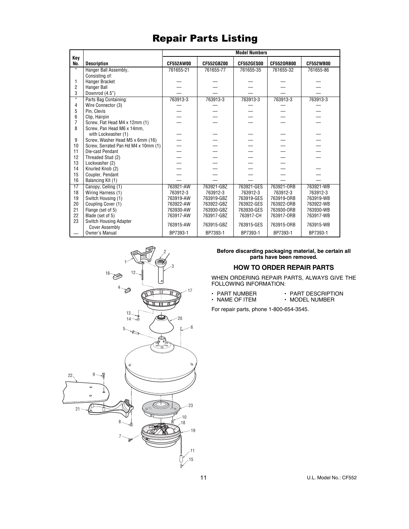# Repair Parts Listing

|                   |                                                        | <b>Model Numbers</b> |            |                   |                   |                  |
|-------------------|--------------------------------------------------------|----------------------|------------|-------------------|-------------------|------------------|
| Key<br>No.        | <b>Description</b>                                     | <b>CF552AW00</b>     | CF552GBZ00 | <b>CF552GES00</b> | <b>CF5520RB00</b> | <b>CF552WB00</b> |
| $\star$           | Hanger Ball Assembly,                                  | 761655-21            | 761655-77  | 761655-35         | 761655-32         | 761655-86        |
|                   | Consisting of:                                         |                      |            |                   |                   |                  |
| 1                 | Hanger Bracket                                         |                      |            |                   |                   |                  |
| $\overline{2}$    | Hanger Ball                                            |                      |            |                   |                   |                  |
| 3                 | Downrod (4.5")                                         |                      |            |                   |                   |                  |
| $\overline{\ast}$ | Parts Bag Containing:                                  | 763913-3             | 763913-3   | 763913-3          | 763913-3          | 763913-3         |
| 4                 | Wire Connector (3)                                     |                      |            |                   |                   |                  |
| 5                 | Pin, Clevis                                            |                      |            |                   |                   |                  |
| 6                 | Clip, Hairpin                                          |                      |            |                   |                   |                  |
| $\overline{7}$    | Screw, Flat Head M4 x 12mm (1)                         |                      |            |                   |                   |                  |
| 8                 | Screw, Pan Head M6 x 14mm,                             |                      |            |                   |                   |                  |
|                   | with Lockwasher (1)                                    |                      |            |                   |                   |                  |
| 9                 | Screw, Washer Head M5 x 6mm (16)                       |                      |            |                   |                   |                  |
| 10                | Screw, Serrated Pan Hd M4 x 10mm (1)                   |                      |            |                   |                   |                  |
| 11                | Die-cast Pendant                                       |                      |            |                   |                   |                  |
| 12                | Threaded Stud (2)                                      |                      |            |                   |                   |                  |
| 13                | Lockwasher (2)                                         |                      |            |                   |                   |                  |
| 14                | Knurled Knob (2)                                       |                      |            |                   |                   |                  |
| 15                | Coupler, Pendant                                       |                      |            |                   |                   |                  |
| 16                | Balancing Kit (1)                                      |                      |            |                   |                   |                  |
| $\overline{17}$   | Canopy, Ceiling (1)                                    | 763921-AW            | 763921-GBZ | 763921-GES        | 763921-ORB        | 763921-WB        |
| 18                | Wiring Harness (1)                                     | 763912-3             | 763912-3   | 763912-3          | 763912-3          | 763912-3         |
| 19                | Switch Housing (1)                                     | 763919-AW            | 763919-GBZ | 763919-GES        | 763919-ORB        | 763919-WB        |
| 20                | Coupling Cover (1)                                     | 763922-AW            | 763922-GBZ | 763922-GES        | 763922-ORB        | 763922-WB        |
| 21                | Flange (set of 5)                                      | 763930-AW            | 763930-GBZ | 763930-GES        | 763930-ORB        | 763930-WB        |
| 22                | Blade (set of 5)                                       | 763917-AW            | 763917-GBZ | 763917-CH         | 763917-0RB        | 763917-WB        |
| 23                | <b>Switch Housing Adapter</b><br><b>Cover Assembly</b> | 763915-AW            | 763915-GBZ | 763915-GES        | 763915-ORB        | 763915-WB        |
|                   | Owner's Manual                                         | BP7393-1             | BP7393-1   | BP7393-1          | BP7393-1          | BP7393-1         |



#### **Before discarding packaging material, be certain all parts have been removed.**

# **HOW TO ORDER REPAIR PARTS**

WHEN ORDERING REPAIR PARTS, ALWAYS GIVE THE FOLLOWING INFORMATION:

- PART NUMBER PART DESCRIPTION
- NAME OF ITEM MODEL NUMBER

For repair parts, phone 1-800-654-3545.